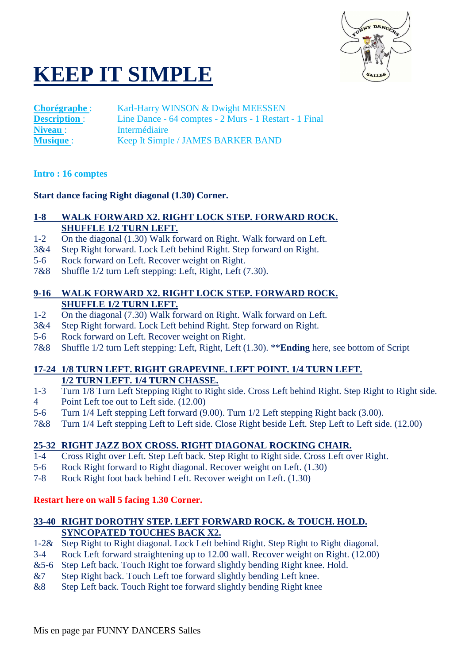

# **KEEP IT SIMPLE**

**Chorégraphe** : Karl-Harry WINSON & Dwight MEESSEN<br> **Description** : Line Dance - 64 comptes - 2 Murs - 1 Restar Line Dance - 64 comptes - 2 Murs - 1 Restart - 1 Final Niveau : Intermédiaire **Musique** : Keep It Simple / JAMES BARKER BAND

#### **Intro : 16 comptes**

#### **Start dance facing Right diagonal (1.30) Corner.**

# **1-8 WALK FORWARD X2. RIGHT LOCK STEP. FORWARD ROCK. SHUFFLE 1/2 TURN LEFT.**

- 1-2 On the diagonal (1.30) Walk forward on Right. Walk forward on Left.
- 3&4 Step Right forward. Lock Left behind Right. Step forward on Right.
- 5-6 Rock forward on Left. Recover weight on Right.
- 7&8 Shuffle 1/2 turn Left stepping: Left, Right, Left (7.30).

#### **9-16 WALK FORWARD X2. RIGHT LOCK STEP. FORWARD ROCK. SHUFFLE 1/2 TURN LEFT.**

- 1-2 On the diagonal (7.30) Walk forward on Right. Walk forward on Left.
- 3&4 Step Right forward. Lock Left behind Right. Step forward on Right.
- 5-6 Rock forward on Left. Recover weight on Right.
- 7&8 Shuffle 1/2 turn Left stepping: Left, Right, Left (1.30). \*\***Ending** here, see bottom of Script

# **17-24 1/8 TURN LEFT. RIGHT GRAPEVINE. LEFT POINT. 1/4 TURN LEFT. 1/2 TURN LEFT. 1/4 TURN CHASSE.**

- 1-3 Turn 1/8 Turn Left Stepping Right to Right side. Cross Left behind Right. Step Right to Right side.
- 4 Point Left toe out to Left side. (12.00)
- 5-6 Turn 1/4 Left stepping Left forward (9.00). Turn 1/2 Left stepping Right back (3.00).
- 7&8 Turn 1/4 Left stepping Left to Left side. Close Right beside Left. Step Left to Left side. (12.00)

# **25-32 RIGHT JAZZ BOX CROSS. RIGHT DIAGONAL ROCKING CHAIR.**

- 1-4 Cross Right over Left. Step Left back. Step Right to Right side. Cross Left over Right.
- 5-6 Rock Right forward to Right diagonal. Recover weight on Left. (1.30)
- 7-8 Rock Right foot back behind Left. Recover weight on Left. (1.30)

# **Restart here on wall 5 facing 1.30 Corner.**

# **33-40 RIGHT DOROTHY STEP. LEFT FORWARD ROCK. & TOUCH. HOLD. SYNCOPATED TOUCHES BACK X2.**

- 1-2& Step Right to Right diagonal. Lock Left behind Right. Step Right to Right diagonal.
- 3-4 Rock Left forward straightening up to 12.00 wall. Recover weight on Right. (12.00)
- &5-6 Step Left back. Touch Right toe forward slightly bending Right knee. Hold.
- &7 Step Right back. Touch Left toe forward slightly bending Left knee.
- &8 Step Left back. Touch Right toe forward slightly bending Right knee